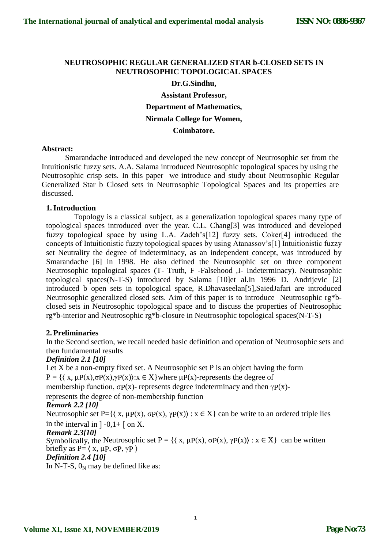# **NEUTROSOPHIC REGULAR GENERALIZED STAR b-CLOSED SETS IN NEUTROSOPHIC TOPOLOGICAL SPACES**

# **Dr.G.Sindhu,**

**Assistant Professor, Department of Mathematics, Nirmala College for Women, Coimbatore.**

#### **Abstract:**

Smarandache introduced and developed the new concept of Neutrosophic set from the Intuitionistic fuzzy sets. A.A. Salama introduced Neutrosophic topological spaces by using the Neutrosophic crisp sets. In this paper we introduce and study about Neutrosophic Regular Generalized Star b Closed sets in Neutrosophic Topological Spaces and its properties are discussed.

# **1.Introduction**

Topology is a classical subject, as a generalization topological spaces many type of topological spaces introduced over the year. C.L. Chang[3] was introduced and developed fuzzy topological space by using L.A. Zadeh's[12] fuzzy sets. Coker[4] introduced the concepts of Intuitionistic fuzzy topological spaces by using Atanassov's[1] Intuitionistic fuzzy set Neutrality the degree of indeterminacy, as an independent concept, was introduced by Smarandache [6] in 1998. He also defined the Neutrosophic set on three component Neutrosophic topological spaces (T- Truth, F -Falsehood ,I- Indeterminacy). Neutrosophic topological spaces(N-T-S) introduced by Salama [10]et al.In 1996 D. Andrijevic [2] introduced b open sets in topological space, R.Dhavaseelan[5],SaiedJafari are introduced Neutrosophic generalized closed sets. Aim of this paper is to introduce Neutrosophic rg\*bclosed sets in Neutrosophic topological space and to discuss the properties of Neutrosophic rg\*b-interior and Neutrosophic rg\*b-closure in Neutrosophic topological spaces(N-T-S)

# **2. Preliminaries**

In the Second section, we recall needed basic definition and operation of Neutrosophic sets and then fundamental results

# *Definition 2.1 [10]*

Let  $X$  be a non-empty fixed set. A Neutrosophic set  $P$  is an object having the form P = { $(x, μP(x), σP(x), γP(x))$ :  $x \in X$ } where  $μP(x)$ -represents the degree of membership function,  $\sigma P(x)$ - represents degree indeterminacy and then  $\gamma P(x)$ -

represents the degree of non-membership function

# *Remark 2.2 [10]*

Neutrosophic set P={ $\{x, \mu P(x), \sigma P(x), \gamma P(x)\}$ :  $x \in X$ } can be write to an ordered triple lies in the interval in  $]-0,1+$  [ on X.

#### *Remark 2.3[10]*

Symbolically, the Neutrosophic set  $P = \{ \langle x, \mu P(x), \sigma P(x), \gamma P(x) \rangle : x \in X \}$  can be written briefly as  $P = \langle x, \mu, \sigma, \gamma \rangle$ 

*Definition 2.4 [10]*

In N-T-S,  $0<sub>N</sub>$  may be defined like as: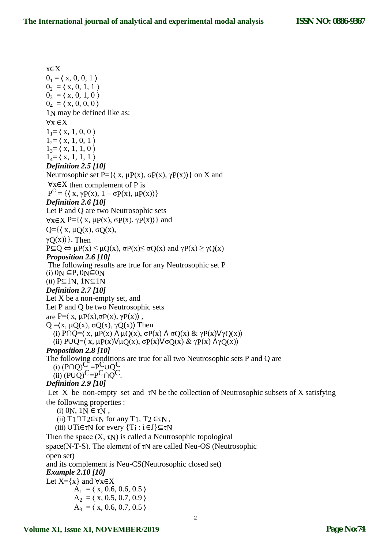x∈X  $0<sub>1</sub> = \langle x, 0, 0, 1 \rangle$  $0<sub>2</sub> = (x, 0, 1, 1)$  $0_3 = (x, 0, 1, 0)$  $0_4 = (x, 0, 0, 0)$ 1N may be defined like as: ∀x ∈X  $1_{1}$ =  $\langle x, 1, 0, 0 \rangle$  $1_{2} = \langle x, 1, 0, 1 \rangle$  $1_{3}=(x, 1, 1, 0)$  $1_4 = \langle x, 1, 1, 1 \rangle$ *Definition 2.5 [10]* Neutrosophic set P={ $\langle x, \mu P(x), \sigma P(x), \gamma P(x) \rangle$ } on X and ∀x∈X then complement of P is  $P^C = {\ (\ x, \gamma P(x), 1 - \sigma P(x), \mu P(x) )\}$ *Definition 2.6 [10]* Let P and Q are two Neutrosophic sets  $\forall x \in X \; P = \{ \langle x, \mu P(x), \sigma P(x), \gamma P(x) \rangle \}$  and  $Q = \{ \langle x, \mu Q(x), \sigma Q(x), \rangle \}$  $\gamma$ Q(x)) }. Then  $P \subseteq Q \Leftrightarrow \mu P(x) \leq \mu Q(x), \sigma P(x) \leq \sigma Q(x)$  and  $\gamma P(x) \geq \gamma Q(x)$ *Proposition 2.6 [10]* The following results are true for any Neutrosophic set P (i)  $0N \subseteq P$ ,  $0N \subseteq 0N$ (ii) P⊆1N, 1N⊆1N *Definition 2.7 [10]* Let X be a non-empty set, and Let P and Q be two Neutrosophic sets are P= $\langle x, \mu P(x), \sigma P(x), \gamma P(x) \rangle$ , Q = $\langle x, \mu Q(x), \sigma Q(x), \gamma Q(x) \rangle$  Then (i) P∩Q= $\langle x, \mu P(x) \land \mu Q(x), \sigma P(x) \land \sigma Q(x) \& \gamma P(x) \lor \gamma Q(x) \rangle$ (ii) P∪Q= $\langle x, \mu P(x)\nabla \mu Q(x), \sigma P(x)\nabla \sigma Q(x) \& \gamma P(x) \wedge \gamma Q(x)\rangle$ *Proposition 2.8 [10]* The following conditions are true for all two Neutrosophic sets P and Q are  $(i)$  (P $\cap$ Q)<sup>C</sup> =P<sup>C</sup>UQ<sup>C</sup> (ii)  $(PUO)^C = P^C \cap O^C$ . *Definition 2.9 [10]* Let X be non-empty set and  $\tau$ N be the collection of Neutrosophic subsets of X satisfying the following properties : (i) 0N,  $1N \in \tau N$ , (ii)  $T1 \cap T2 \in \tau N$  for any  $T1$ ,  $T2 \in \tau N$ , (iii)  $\cup$ Ti $\in$ τN for every  $\{T_i : i \in J\} \subseteq \infty$ Then the space  $(X, \tau_N)$  is called a Neutrosophic topological space(N-T-S). The element of τN are called Neu-OS (Neutrosophic open set) and its complement is Neu-CS(Neutrosophic closed set) *Example 2.10 [10]* Let  $X=\{x\}$  and  $\forall x \in X$  $A_1 = \langle x, 0.6, 0.6, 0.5 \rangle$  $A_2 = \langle x, 0.5, 0.7, 0.9 \rangle$  $A_3 = (x, 0.6, 0.7, 0.5)$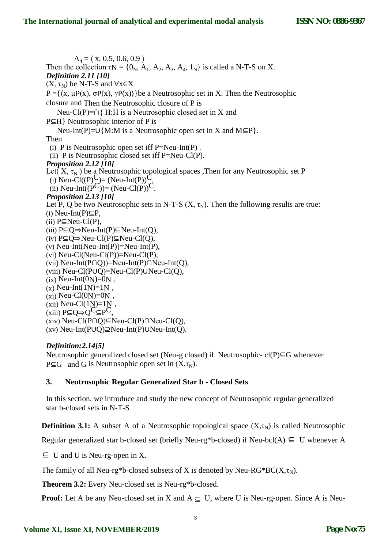$A_4 = \langle x, 0.5, 0.6, 0.9 \rangle$ Then the collection  $\tau N = \{0_N, A_1, A_2, A_3, A_4, 1_N\}$  is called a N-T-S on X. *Definition 2.11 [10]*  $(X, \tau_N)$  be N-T-S and  $\forall x \in X$ P ={ $(x, μP(x), σP(x), γP(x))$ }be a Neutrosophic set in X. Then the Neutrosophic closure and Then the Neutrosophic closure of P is Neu-Cl(P)=∩{ H:H is a Neutrosophic closed set in X and P⊆H} Neutrosophic interior of P is Neu-Int(P)=∪{M:M is a Neutrosophic open set in X and M⊆P}. Then (i) P is Neutrosophic open set iff  $P=Neu-Int(P)$ . (ii) P is Neutrosophic closed set iff  $P=Neu-Cl(P)$ . *Proposition 2.12 [10]* Let( $X$ ,  $\tau_N$ ) be a Neutrosophic topological spaces ,Then for any Neutrosophic set P (i) Neu-Cl((P)C)= (Neu-Int(P))C (ii) Neu-Int(( $P^C$ ))= (Neu-Cl(P))<sup>C</sup>. *Proposition 2.13 [10]* Let P, Q be two Neutrosophic sets in N-T-S  $(X, \tau_N)$ . Then the following results are true: (i) Neu-Int(P)⊆P, (ii)  $P\subseteq$ Neu-Cl(P), (iii) P⊆Q⇒Neu-Int(P)⊆Neu-Int(Q), (iv) P⊆Q⇒Neu-Cl(P)⊆Neu-Cl(Q), (v) Neu-Int(Neu-Int(P))=Neu-Int(P), (vi) Neu-Cl(Neu-Cl(P))=Neu-Cl(P), (vii) Neu-Int(P∩Q))=Neu-Int(P)∩Neu-Int(Q), (viii) Neu-Cl(P∪Q)=Neu-Cl(P)∪Neu-Cl(Q),  $(ix)$  Neu-Int $(0N)=0N$ ,  $(x)$  Neu-Int $(1N)=1N$ ,  $(x_i)$  Neu-Cl(0<sub>N</sub>)=0<sub>N</sub>, (xii) Neu-Cl $(1<sub>N</sub>)=1<sub>N</sub>$ ,  $(xiii)$  P⊆Q⇒Q<sup>C</sup>⊆P<sup>C</sup>, (xiv) Neu-Cl(P∩Q)⊆Neu-Cl(P)∩Neu-Cl(Q), (xv) Neu-Int(P∪Q)⊇Neu-Int(P)∪Neu-Int(Q).

# *Definition:2.14[5]*

Neutrosophic generalized closed set (Neu-g closed) if Neutrosophic- cl(P)⊆G whenever  $P \subseteq G$  and G is Neutrosophic open set in  $(X, \tau_N)$ .

# **3. Neutrosophic Regular Generalized Star b - Closed Sets**

In this section, we introduce and study the new concept of Neutrosophic regular generalized star b-closed sets in N-T-S

**Definition 3.1:** A subset A of a Neutrosophic topological space  $(X,\tau_N)$  is called Neutrosophic

Regular generalized star b-closed set (briefly Neu-rg\*b-closed) if Neu-bcl(A)  $\subseteq U$  whenever A

 $\subseteq$  U and U is Neu-rg-open in X.

The family of all Neu-rg\*b-closed subsets of X is denoted by Neu-RG\*BC( $X, \tau_N$ ).

**Theorem 3.2:** Every Neu-closed set is Neu-rg\*b-closed.

**Proof:** Let A be any Neu-closed set in X and  $A \subseteq U$ , where U is Neu-rg-open. Since A is Neu-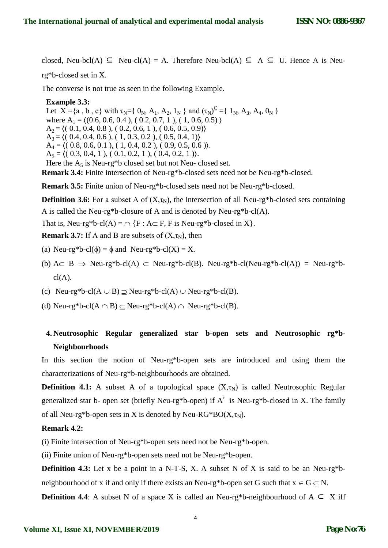closed, Neu-bcl(A)  $\subseteq$  Neu-cl(A) = A. Therefore Neu-bcl(A)  $\subseteq$  A  $\subseteq$  U. Hence A is Neu-

rg\*b-closed set in X.

The converse is not true as seen in the following Example.

#### **Example 3.3:**

Let  $X = \{a, b, c\}$  with  $\tau_N = \{0_N, A_1, A_2, 1_N\}$  and  $(\tau_N)^C = \{1_N, A_3, A_4, 0_N\}$ where  $A_1 = \{(0.6, 0.6, 0.4), (0.2, 0.7, 1), (1, 0.6, 0.5)\}\$  $A_2 = \langle (0.1, 0.4, 0.8), (0.2, 0.6, 1), (0.6, 0.5, 0.9) \rangle$  $A_3 = \langle (0.4, 0.4, 0.6), (1, 0.3, 0.2), (0.5, 0.4, 1) \rangle$  $A_4 = \langle (0.8, 0.6, 0.1), (1, 0.4, 0.2), (0.9, 0.5, 0.6) \rangle.$  $A_5 = \langle (0.3, 0.4, 1), (0.1, 0.2, 1), (0.4, 0.2, 1) \rangle$ . Here the  $A_5$  is Neu-rg\*b closed set but not Neu- closed set.

**Remark 3.4:** Finite intersection of Neu-rg\*b-closed sets need not be Neu-rg\*b-closed.

**Remark 3.5:** Finite union of Neu-rg\*b-closed sets need not be Neu-rg\*b-closed.

**Definition 3.6:** For a subset A of  $(X,\tau_N)$ , the intersection of all Neu-rg\*b-closed sets containing

A is called the Neu-rg\*b-closure of A and is denoted by Neu-rg\*b-cl(A).

That is, Neu-rg\*b-cl(A) =  $\cap$  {F : A  $\subset$  F, F is Neu-rg\*b-closed in X}.

**Remark 3.7:** If A and B are subsets of  $(X, \tau_N)$ , then

- (a) Neu-rg\*b-cl( $\phi$ ) =  $\phi$  and Neu-rg\*b-cl(X) = X.
- (b)  $A \subseteq B \Rightarrow$  Neu-rg\*b-cl(A)  $\subseteq$  Neu-rg\*b-cl(B). Neu-rg\*b-cl(Neu-rg\*b-cl(A)) = Neu-rg\*b $cl(A).$
- (c) Neu-rg\*b-cl( $A \cup B$ )  $\supseteq$  Neu-rg\*b-cl(A)  $\cup$  Neu-rg\*b-cl(B).
- (d) Neu-rg\*b-cl( $A \cap B$ )  $\subseteq$  Neu-rg\*b-cl( $A$ )  $\cap$  Neu-rg\*b-cl( $B$ ).

# **4. Neutrosophic Regular generalized star b-open sets and Neutrosophic rg\*b-Neighbourhoods**

In this section the notion of Neu-rg\*b-open sets are introduced and using them the characterizations of Neu-rg\*b-neighbourhoods are obtained.

**Definition 4.1:** A subset A of a topological space  $(X,\tau_N)$  is called Neutrosophic Regular generalized star b- open set (briefly Neu-rg\*b-open) if  $A<sup>c</sup>$  is Neu-rg\*b-closed in X. The family of all Neu-rg\*b-open sets in X is denoted by Neu-RG\*BO( $X, \tau_N$ ).

# **Remark 4.2:**

(i) Finite intersection of Neu-rg\*b-open sets need not be Neu-rg\*b-open.

(ii) Finite union of Neu-rg\*b-open sets need not be Neu-rg\*b-open.

**Definition 4.3:** Let x be a point in a N-T-S, X. A subset N of X is said to be an Neu-rg\*bneighbourhood of x if and only if there exists an Neu-rg\*b-open set G such that  $x \in G \subset N$ .

**Definition 4.4**: A subset N of a space X is called an Neu-rg\*b-neighbourhood of  $A ⊂ X$  iff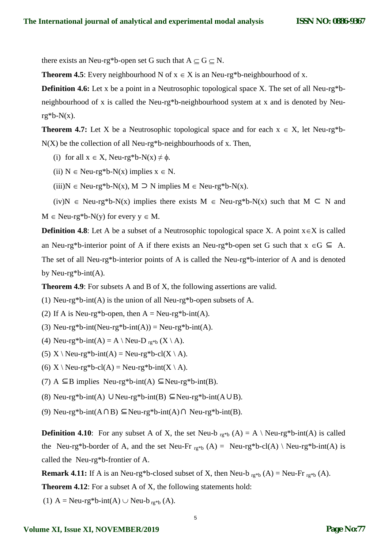there exists an Neu-rg\*b-open set G such that  $A \subseteq G \subseteq N$ .

**Theorem 4.5**: Every neighbourhood N of  $x \in X$  is an Neu-rg\*b-neighbourhood of x.

**Definition 4.6:** Let x be a point in a Neutrosophic topological space X. The set of all Neu-rg\*bneighbourhood of x is called the Neu-rg\*b-neighbourhood system at x and is denoted by Neu $rg*b-N(x)$ .

**Theorem 4.7:** Let X be a Neutrosophic topological space and for each  $x \in X$ , let Neu-rg\*b- $N(X)$  be the collection of all Neu-rg\*b-neighbourhoods of x. Then,

(i) for all  $x \in X$ , Neu-rg\*b-N(x)  $\neq \phi$ .

(ii)  $N \in \text{Neu-rg*}b-N(x)$  implies  $x \in N$ .

(iii)N  $\in$  Neu-rg\*b-N(x), M  $\supset$  N implies M  $\in$  Neu-rg\*b-N(x).

 $(iv)N \in Neu-rg*b-N(x)$  implies there exists  $M \in Neu-rg*b-N(x)$  such that  $M \subseteq N$  and

 $M \in \text{Neu-rg*}b-N(y)$  for every  $y \in M$ .

**Definition 4.8**: Let A be a subset of a Neutrosophic topological space X. A point  $x \in X$  is called an Neu-rg\*b-interior point of A if there exists an Neu-rg\*b-open set G such that  $x \in G \subseteq A$ . The set of all Neu-rg\*b-interior points of A is called the Neu-rg\*b-interior of A and is denoted by Neu-rg\*b-int $(A)$ .

**Theorem 4.9**: For subsets A and B of X, the following assertions are valid.

(1) Neu-rg\*b-int(A) is the union of all Neu-rg\*b-open subsets of A.

(2) If A is Neu-rg\*b-open, then  $A = Neu-rg*b-int(A)$ .

(3) Neu-rg\*b-int(Neu-rg\*b-int(A)) = Neu-rg\*b-int(A).

(4) Neu-rg\*b-int(A) = A \ Neu-D  $_{\text{rg}}$ \*b (X \ A).

(5)  $X \setminus \text{Neu-rg*b-int}(A) = \text{Neu-rg*b-cl}(X \setminus A)$ .

(6)  $X \setminus \text{Neu-rg*b-cl}(A) = \text{Neu-rg*b-int}(X \setminus A)$ .

(7) A  $\subseteq$ B implies Neu-rg\*b-int(A)  $\subseteq$ Neu-rg\*b-int(B).

(8) Neu-rg\*b-int(A) ∪Neu-rg\*b-int(B) ⊆Neu-rg\*b-int(A∪B).

(9) Neu-rg\*b-int( $A \cap B$ ) ⊆Neu-rg\*b-int( $A$ ) $\cap$  Neu-rg\*b-int( $B$ ).

**Definition 4.10**: For any subset A of X, the set Neu-b  $_{r,g*b}(A) = A \setminus Neu-rg*b-int(A)$  is called the Neu-rg\*b-border of A, and the set Neu-Fr  $_{rg*b}(A) =$  Neu-rg\*b-cl(A) \ Neu-rg\*b-int(A) is called the Neu-rg\*b-frontier of A.

**Remark 4.11:** If A is an Neu-rg\*b-closed subset of X, then Neu-b  $_{rg*b}(A) =$  Neu-Fr  $_{rg*b}(A)$ .

**Theorem 4.12**: For a subset A of X, the following statements hold:

(1) A = Neu-rg\*b-int(A)  $\cup$  Neu-b<sub>rg\*b</sub> (A).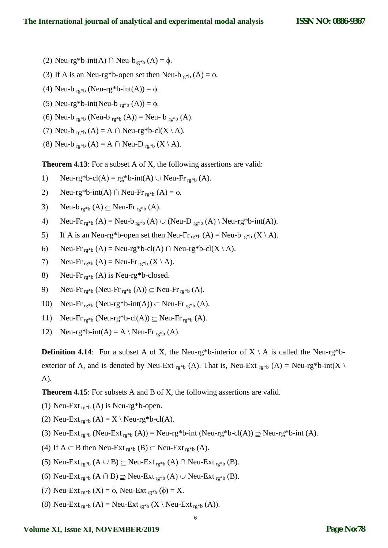- (2) Neu-rg\*b-int(A) ∩ Neu-b<sub>rg\*b</sub> (A) =  $\phi$ .
- (3) If A is an Neu-rg\*b-open set then Neu- $b_{rg*b}$  (A) =  $\phi$ .
- (4) Neu-b  $_{\text{rg}}*_{\text{b}}$  (Neu-rg\*b-int(A)) =  $\phi$ .
- (5) Neu-rg\*b-int(Neu-b  $_{\text{rg}}$ \*b (A)) =  $\phi$ .
- (6) Neu-b  $_{rg *b}$  (Neu-b  $_{rg *b}$  (A)) = Neu- b  $_{rg *b}$  (A).
- (7) Neu-b  $_{rg*b}(A) = A \cap Neu-rg*b-cl(X \setminus A)$ .
- (8) Neu-b  $_{rg *b}(A) = A \cap$  Neu-D  $_{rg *b}(X \setminus A)$ .

**Theorem 4.13**: For a subset A of X, the following assertions are valid:

- 1) Neu-rg\*b-cl(A) = rg\*b-int(A)  $\cup$  Neu-Fr<sub>rg\*b</sub> (A).
- 2) Neu-rg\*b-int(A) ∩ Neu-Fr<sub>rg\*b</sub> (A) =  $\phi$ .
- 3) Neu-b  $_{\text{rg}}$ \*b  $(A) \subseteq$  Neu-Fr  $_{\text{rg}}$ \*b  $(A)$ .
- 4) Neu-Fr  $_{\text{rg}}$ \*b (A) = Neu-b  $_{\text{rg}}$ \*b (A)  $\cup$  (Neu-D  $_{\text{rg}}$ \*b (A)  $\setminus$  Neu-rg\*b-int(A)).
- 5) If A is an Neu-rg\*b-open set then Neu-Fr  $r_{\text{g}}*_{\text{b}}(A) =$  Neu-b $r_{\text{g}}*_{\text{b}}(X \setminus A)$ .
- 6) Neu-Fr  $_{\rm rg*b}(A)$  = Neu-rg\*b-cl(A)  $\cap$  Neu-rg\*b-cl(X \ A).
- 7) Neu-Fr  $_{\text{rg}}$ \*b (A) = Neu-Fr  $_{\text{rg}}$ \*b (X \ A).
- 8) Neu-Fr $_{\text{rg}}$ <sup>\*</sup>b (A) is Neu-rg<sup>\*</sup>b-closed.
- 9) Neu-Fr  $_{\text{rg}}*_{\text{b}}$  (Neu-Fr  $_{\text{rg}}*_{\text{b}}$  (A))  $\subseteq$  Neu-Fr  $_{\text{rg}}*_{\text{b}}$  (A).
- 10) Neu-Fr  $_{\text{rg}}*_{\text{b}}$  (Neu-rg\*b-int(A))  $\subseteq$  Neu-Fr  $_{\text{rg}}*_{\text{b}}$  (A).
- 11) Neu-Fr  $_{\rm rg*b}$  (Neu-rg\*b-cl(A))  $\subseteq$  Neu-Fr  $_{\rm rg*b}$  (A).
- 12) Neu-rg\*b-int(A) = A \ Neu-Fr<sub>rg\*b</sub> (A).

**Definition 4.14**: For a subset A of X, the Neu-rg\*b-interior of  $X \setminus A$  is called the Neu-rg\*bexterior of A, and is denoted by Neu-Ext  $_{rg*b}$  (A). That is, Neu-Ext  $_{rg*b}$  (A) = Neu-rg\*b-int(X \ A).

**Theorem 4.15**: For subsets A and B of X, the following assertions are valid.

- (1) Neu-Ext  $_{\text{rg}}$ \*b (A) is Neu-rg\*b-open.
- (2) Neu-Ext  $_{\text{rg}}$ <sup>\*</sup>b (A) = X \ Neu-rg<sup>\*</sup>b-cl(A).
- (3) Neu-Ext  $_{rg*b}$  (Neu-Ext  $_{rg*b}$  (A)) = Neu-rg\*b-int (Neu-rg\*b-cl(A))  $\supseteq$  Neu-rg\*b-int (A).
- (4) If  $A \subseteq B$  then Neu-Ext  $_{rg*b}$  (B)  $\subseteq$  Neu-Ext  $_{rg*b}$  (A).
- (5) Neu-Ext  $_{\text{rg}}*_{\text{b}}$  (A  $\cup$  B)  $\subseteq$  Neu-Ext  $_{\text{rg}}*_{\text{b}}$  (A)  $\cap$  Neu-Ext  $_{\text{rg}}*_{\text{b}}$  (B).
- (6) Neu-Ext  $_{rg*b}$  (A  $\cap$  B)  $\supseteq$  Neu-Ext  $_{rg*b}$  (A)  $\cup$  Neu-Ext  $_{rg*b}$  (B).
- (7) Neu-Ext  $_{rg*b}$  (X) =  $\phi$ , Neu-Ext  $_{rg*b}$  ( $\phi$ ) = X.
- (8) Neu-Ext  $_{rg*b}$  (A) = Neu-Ext  $_{rg*b}$  (X \ Neu-Ext  $_{rg*b}$  (A)).

#### **Volume XI, Issue XI, NOVEMBER/2019**